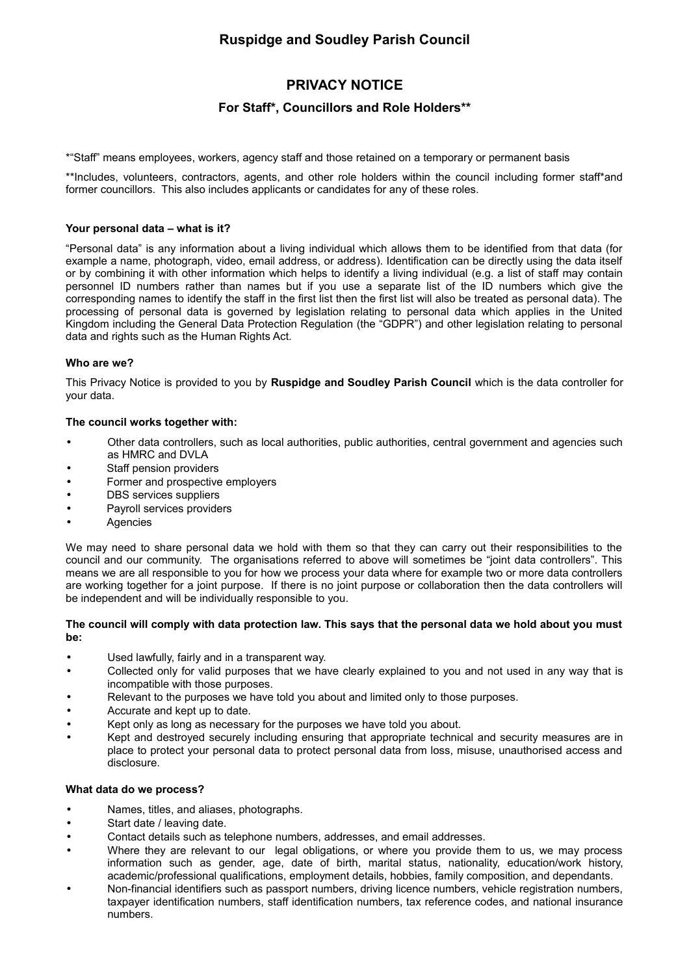# **Ruspidge and Soudley Parish Council**

# **PRIVACY NOTICE**

# **For Staff\*, Councillors and Role Holders\*\***

\*"Staff" means employees, workers, agency staff and those retained on a temporary or permanent basis

\*\*Includes, volunteers, contractors, agents, and other role holders within the council including former staff\*and former councillors. This also includes applicants or candidates for any of these roles.

## **Your personal data – what is it?**

"Personal data" is any information about a living individual which allows them to be identified from that data (for example a name, photograph, video, email address, or address). Identification can be directly using the data itself or by combining it with other information which helps to identify a living individual (e.g. a list of staff may contain personnel ID numbers rather than names but if you use a separate list of the ID numbers which give the corresponding names to identify the staff in the first list then the first list will also be treated as personal data). The processing of personal data is governed by legislation relating to personal data which applies in the United Kingdom including the General Data Protection Regulation (the "GDPR") and other legislation relating to personal data and rights such as the Human Rights Act.

# **Who are we?**

This Privacy Notice is provided to you by **Ruspidge and Soudley Parish Council** which is the data controller for your data.

### **The council works together with:**

- Other data controllers, such as local authorities, public authorities, central government and agencies such as HMRC and DVLA
- Staff pension providers
- Former and prospective employers
- DBS services suppliers
- Payroll services providers
- **Agencies**

We may need to share personal data we hold with them so that they can carry out their responsibilities to the council and our community. The organisations referred to above will sometimes be "joint data controllers". This means we are all responsible to you for how we process your data where for example two or more data controllers are working together for a joint purpose. If there is no joint purpose or collaboration then the data controllers will be independent and will be individually responsible to you.

### **The council will comply with data protection law. This says that the personal data we hold about you must be:**

- Used lawfully, fairly and in a transparent way.
- Collected only for valid purposes that we have clearly explained to you and not used in any way that is incompatible with those purposes.
- Relevant to the purposes we have told you about and limited only to those purposes.
- Accurate and kept up to date.
- Kept only as long as necessary for the purposes we have told you about.
- Kept and destroyed securely including ensuring that appropriate technical and security measures are in place to protect your personal data to protect personal data from loss, misuse, unauthorised access and disclosure.

#### **What data do we process?**

- Names, titles, and aliases, photographs.
- Start date / leaving date.
- Contact details such as telephone numbers, addresses, and email addresses.
- Where they are relevant to our legal obligations, or where you provide them to us, we may process information such as gender, age, date of birth, marital status, nationality, education/work history, academic/professional qualifications, employment details, hobbies, family composition, and dependants.
- Non-financial identifiers such as passport numbers, driving licence numbers, vehicle registration numbers, taxpayer identification numbers, staff identification numbers, tax reference codes, and national insurance numbers.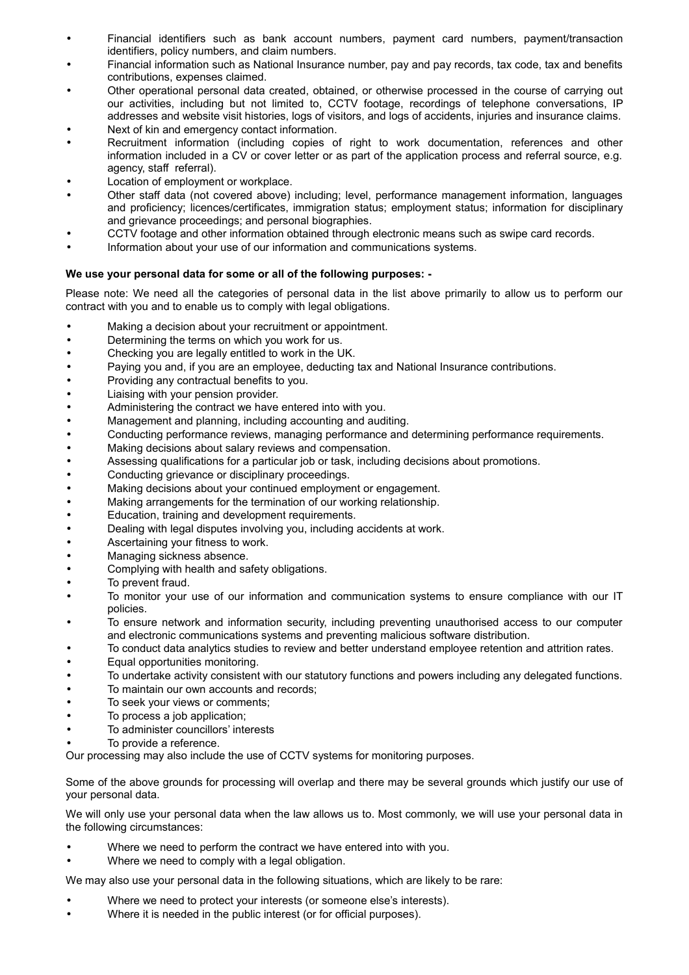- Financial identifiers such as bank account numbers, payment card numbers, payment/transaction identifiers, policy numbers, and claim numbers.
- Financial information such as National Insurance number, pay and pay records, tax code, tax and benefits contributions, expenses claimed.
- Other operational personal data created, obtained, or otherwise processed in the course of carrying out our activities, including but not limited to, CCTV footage, recordings of telephone conversations, IP addresses and website visit histories, logs of visitors, and logs of accidents, injuries and insurance claims.
- Next of kin and emergency contact information.
- Recruitment information (including copies of right to work documentation, references and other information included in a CV or cover letter or as part of the application process and referral source, e.g. agency, staff referral).
- Location of employment or workplace.
- Other staff data (not covered above) including; level, performance management information, languages and proficiency; licences/certificates, immigration status; employment status; information for disciplinary and grievance proceedings; and personal biographies.
- CCTV footage and other information obtained through electronic means such as swipe card records.
- Information about your use of our information and communications systems.

# **We use your personal data for some or all of the following purposes: -**

Please note: We need all the categories of personal data in the list above primarily to allow us to perform our contract with you and to enable us to comply with legal obligations.

- Making a decision about your recruitment or appointment.
- Determining the terms on which you work for us.
- Checking you are legally entitled to work in the UK.
- Paying you and, if you are an employee, deducting tax and National Insurance contributions.
- Providing any contractual benefits to you.
- Liaising with your pension provider.
- Administering the contract we have entered into with you.
- Management and planning, including accounting and auditing.
- Conducting performance reviews, managing performance and determining performance requirements.
- Making decisions about salary reviews and compensation.
- Assessing qualifications for a particular job or task, including decisions about promotions.
- Conducting grievance or disciplinary proceedings.
- Making decisions about your continued employment or engagement.
- Making arrangements for the termination of our working relationship.
- Education, training and development requirements.
- Dealing with legal disputes involving you, including accidents at work.
- Ascertaining your fitness to work.
- Managing sickness absence.
- Complying with health and safety obligations.
- To prevent fraud.
- To monitor your use of our information and communication systems to ensure compliance with our IT policies.
- To ensure network and information security, including preventing unauthorised access to our computer and electronic communications systems and preventing malicious software distribution.
- To conduct data analytics studies to review and better understand employee retention and attrition rates.
- Equal opportunities monitoring.
- To undertake activity consistent with our statutory functions and powers including any delegated functions.
- To maintain our own accounts and records;
- To seek your views or comments;
- To process a job application;
- To administer councillors' interests
- To provide a reference.

Our processing may also include the use of CCTV systems for monitoring purposes.

Some of the above grounds for processing will overlap and there may be several grounds which justify our use of your personal data.

We will only use your personal data when the law allows us to. Most commonly, we will use your personal data in the following circumstances:

- Where we need to perform the contract we have entered into with you.
- Where we need to comply with a legal obligation.

We may also use your personal data in the following situations, which are likely to be rare:

- Where we need to protect your interests (or someone else's interests).
- Where it is needed in the public interest (or for official purposes).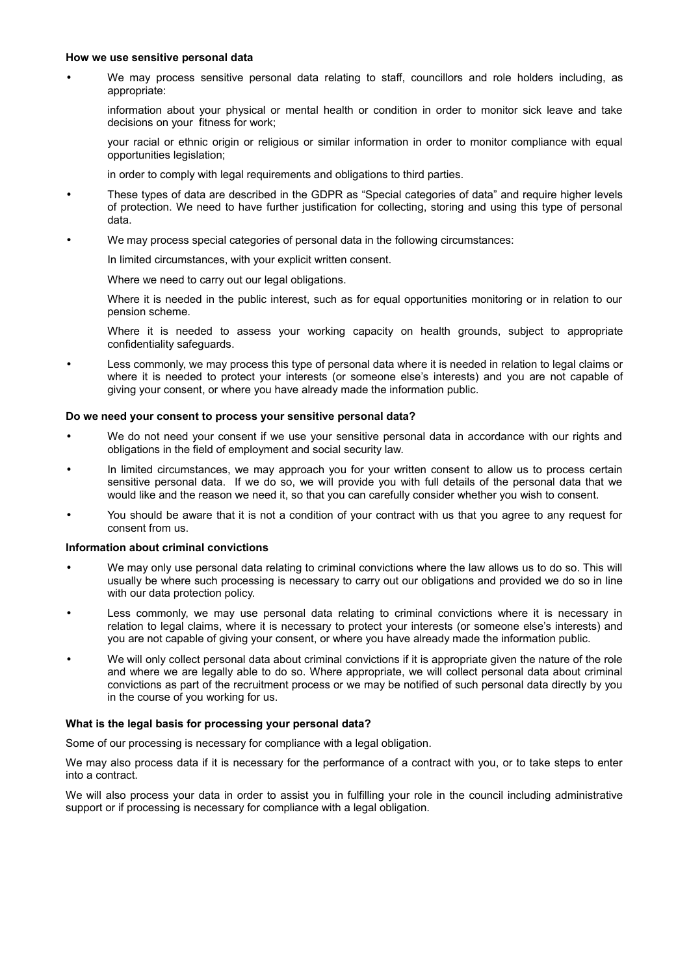#### **How we use sensitive personal data**

• We may process sensitive personal data relating to staff, councillors and role holders including, as appropriate:

information about your physical or mental health or condition in order to monitor sick leave and take decisions on your fitness for work;

your racial or ethnic origin or religious or similar information in order to monitor compliance with equal opportunities legislation;

in order to comply with legal requirements and obligations to third parties.

- These types of data are described in the GDPR as "Special categories of data" and require higher levels of protection. We need to have further justification for collecting, storing and using this type of personal data.
- We may process special categories of personal data in the following circumstances:

In limited circumstances, with your explicit written consent.

Where we need to carry out our legal obligations.

Where it is needed in the public interest, such as for equal opportunities monitoring or in relation to our pension scheme.

Where it is needed to assess your working capacity on health grounds, subject to appropriate confidentiality safeguards.

• Less commonly, we may process this type of personal data where it is needed in relation to legal claims or where it is needed to protect your interests (or someone else's interests) and you are not capable of giving your consent, or where you have already made the information public.

#### **Do we need your consent to process your sensitive personal data?**

- We do not need your consent if we use your sensitive personal data in accordance with our rights and obligations in the field of employment and social security law.
- In limited circumstances, we may approach you for your written consent to allow us to process certain sensitive personal data. If we do so, we will provide you with full details of the personal data that we would like and the reason we need it, so that you can carefully consider whether you wish to consent.
- You should be aware that it is not a condition of your contract with us that you agree to any request for consent from us.

#### **Information about criminal convictions**

- We may only use personal data relating to criminal convictions where the law allows us to do so. This will usually be where such processing is necessary to carry out our obligations and provided we do so in line with our data protection policy.
- Less commonly, we may use personal data relating to criminal convictions where it is necessary in relation to legal claims, where it is necessary to protect your interests (or someone else's interests) and you are not capable of giving your consent, or where you have already made the information public.
- We will only collect personal data about criminal convictions if it is appropriate given the nature of the role and where we are legally able to do so. Where appropriate, we will collect personal data about criminal convictions as part of the recruitment process or we may be notified of such personal data directly by you in the course of you working for us.

## **What is the legal basis for processing your personal data?**

Some of our processing is necessary for compliance with a legal obligation.

We may also process data if it is necessary for the performance of a contract with you, or to take steps to enter into a contract.

We will also process your data in order to assist you in fulfilling your role in the council including administrative support or if processing is necessary for compliance with a legal obligation.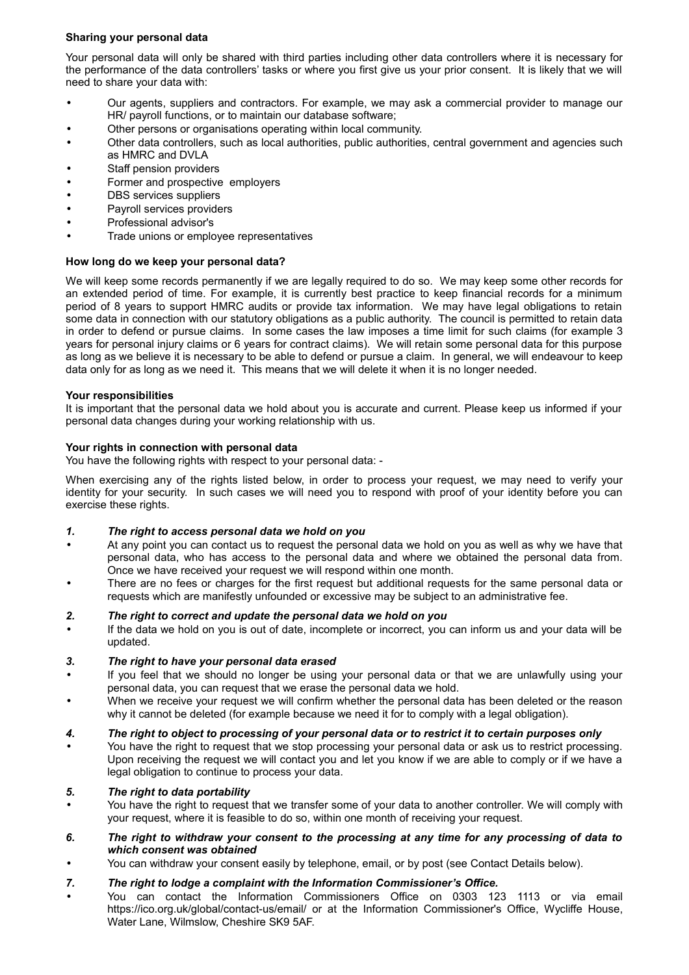# **Sharing your personal data**

Your personal data will only be shared with third parties including other data controllers where it is necessary for the performance of the data controllers' tasks or where you first give us your prior consent. It is likely that we will need to share your data with:

- Our agents, suppliers and contractors. For example, we may ask a commercial provider to manage our HR/ payroll functions, or to maintain our database software;
- Other persons or organisations operating within local community.
- Other data controllers, such as local authorities, public authorities, central government and agencies such as HMRC and DVLA
- Staff pension providers
- Former and prospective employers
- DBS services suppliers
- Payroll services providers
- Professional advisor's
- Trade unions or employee representatives

# **How long do we keep your personal data?**

We will keep some records permanently if we are legally required to do so. We may keep some other records for an extended period of time. For example, it is currently best practice to keep financial records for a minimum period of 8 years to support HMRC audits or provide tax information. We may have legal obligations to retain some data in connection with our statutory obligations as a public authority. The council is permitted to retain data in order to defend or pursue claims. In some cases the law imposes a time limit for such claims (for example 3 years for personal injury claims or 6 years for contract claims). We will retain some personal data for this purpose as long as we believe it is necessary to be able to defend or pursue a claim. In general, we will endeavour to keep data only for as long as we need it. This means that we will delete it when it is no longer needed.

# **Your responsibilities**

It is important that the personal data we hold about you is accurate and current. Please keep us informed if your personal data changes during your working relationship with us.

# **Your rights in connection with personal data**

You have the following rights with respect to your personal data: -

When exercising any of the rights listed below, in order to process your request, we may need to verify your identity for your security. In such cases we will need you to respond with proof of your identity before you can exercise these rights.

# *1. The right to access personal data we hold on you*

- At any point you can contact us to request the personal data we hold on you as well as why we have that personal data, who has access to the personal data and where we obtained the personal data from. Once we have received your request we will respond within one month.
- There are no fees or charges for the first request but additional requests for the same personal data or requests which are manifestly unfounded or excessive may be subject to an administrative fee.

# *2. The right to correct and update the personal data we hold on you*

• If the data we hold on you is out of date, incomplete or incorrect, you can inform us and your data will be updated.

# *3. The right to have your personal data erased*

- If you feel that we should no longer be using your personal data or that we are unlawfully using your personal data, you can request that we erase the personal data we hold.
- When we receive your request we will confirm whether the personal data has been deleted or the reason why it cannot be deleted (for example because we need it for to comply with a legal obligation).

# *4. The right to object to processing of your personal data or to restrict it to certain purposes only*

• You have the right to request that we stop processing your personal data or ask us to restrict processing. Upon receiving the request we will contact you and let you know if we are able to comply or if we have a legal obligation to continue to process your data.

# *5. The right to data portability*

- You have the right to request that we transfer some of your data to another controller. We will comply with your request, where it is feasible to do so, within one month of receiving your request.
- *6. The right to withdraw your consent to the processing at any time for any processing of data to which consent was obtained*
- You can withdraw your consent easily by telephone, email, or by post (see Contact Details below).

# *7. The right to lodge a complaint with the Information Commissioner's Office.*

• You can contact the Information Commissioners Office on 0303 123 1113 or via email https://ico.org.uk/global/contact-us/email/ or at the Information Commissioner's Office, Wycliffe House, Water Lane, Wilmslow, Cheshire SK9 5AF.